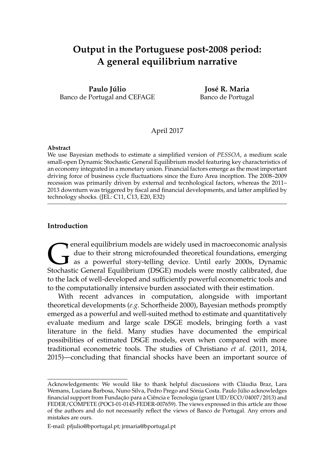# **Output in the Portuguese post-2008 period: A general equilibrium narrative**

**Paulo Júlio** Banco de Portugal and CEFAGE

**José R. Maria** Banco de Portugal

# April 2017

### **Abstract**

We use Bayesian methods to estimate a simplified version of *PESSOA*, a medium scale small-open Dynamic Stochastic General Equilibrium model featuring key characteristics of an economy integrated in a monetary union. Financial factors emerge as the most important driving force of business cycle fluctuations since the Euro Area inception. The 2008–2009 recession was primarily driven by external and tecnhological factors, whereas the 2011– 2013 downturn was triggered by fiscal and financial developments, and latter amplified by technology shocks. (JEL: C11, C13, E20, E32)

# **Introduction**

G<br>Stochas eneral equilibrium models are widely used in macroeconomic analysis due to their strong microfounded theoretical foundations, emerging as a powerful story-telling device. Until early 2000s, Dynamic Stochastic General Equilibrium (DSGE) models were mostly calibrated, due to the lack of well-developed and sufficiently powerful econometric tools and to the computationally intensive burden associated with their estimation.

With recent advances in computation, alongside with important theoretical developments (*e.g.* Schorfheide 2000), Bayesian methods promptly emerged as a powerful and well-suited method to estimate and quantitatively evaluate medium and large scale DSGE models, bringing forth a vast literature in the field. Many studies have documented the empirical possibilities of estimated DSGE models, even when compared with more traditional econometric tools. The studies of Christiano *et al.* (2011, 2014, 2015)—concluding that financial shocks have been an important source of

Acknowledgements: We would like to thank helpful discussions with Cláudia Braz, Lara Wemans, Luciana Barbosa, Nuno Silva, Pedro Prego and Sónia Costa. Paulo Júlio acknowledges financial support from Fundação para a Ciência e Tecnologia (grant UID/ECO/04007/2013) and FEDER/COMPETE (POCI-01-0145-FEDER-007659). The views expressed in this article are those of the authors and do not necessarily reflect the views of Banco de Portugal. Any errors and mistakes are ours.

E-mail: pfjulio@bportugal.pt; jrmaria@bportugal.pt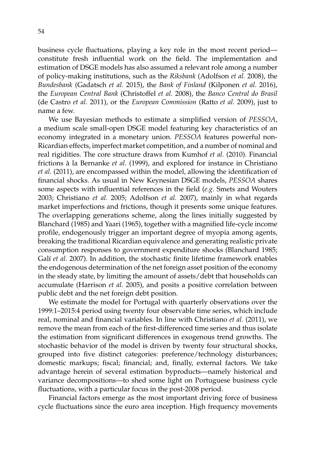business cycle fluctuations, playing a key role in the most recent period constitute fresh influential work on the field. The implementation and estimation of DSGE models has also assumed a relevant role among a number of policy-making institutions, such as the *Riksbank* (Adolfson *et al.* 2008), the *Bundesbank* (Gadatsch *et al.* 2015), the *Bank of Finland* (Kilponen *et al.* 2016), the *European Central Bank* (Christoffel *et al.* 2008), the *Banco Central do Brasil* (de Castro *et al.* 2011), or the *European Commission* (Ratto *et al.* 2009), just to name a few.

We use Bayesian methods to estimate a simplified version of *PESSOA*, a medium scale small-open DSGE model featuring key characteristics of an economy integrated in a monetary union. *PESSOA* features powerful non-Ricardian effects, imperfect market competition, and a number of nominal and real rigidities. The core structure draws from Kumhof *et al.* (2010). Financial frictions à la Bernanke *et al.* (1999), and explored for instance in Christiano *et al.* (2011), are encompassed within the model, allowing the identification of financial shocks. As usual in New Keynesian DSGE models, *PESSOA* shares some aspects with influential references in the field (*e.g.* Smets and Wouters 2003; Christiano *et al.* 2005; Adolfson *et al.* 2007), mainly in what regards market imperfections and frictions, though it presents some unique features. The overlapping generations scheme, along the lines initially suggested by Blanchard (1985) and Yaari (1965), together with a magnified life-cycle income profile, endogenously trigger an important degree of myopia among agents, breaking the traditional Ricardian equivalence and generating realistic private consumption responses to government expenditure shocks (Blanchard 1985; Galí *et al.* 2007). In addition, the stochastic finite lifetime framework enables the endogenous determination of the net foreign asset position of the economy in the steady state, by limiting the amount of assets/debt that households can accumulate (Harrison *et al.* 2005), and posits a positive correlation between public debt and the net foreign debt position.

We estimate the model for Portugal with quarterly observations over the 1999:1–2015:4 period using twenty four observable time series, which include real, nominal and financial variables. In line with Christiano *et al.* (2011), we remove the mean from each of the first-differenced time series and thus isolate the estimation from significant differences in exogenous trend growths. The stochastic behavior of the model is driven by twenty four structural shocks, grouped into five distinct categories: preference/technology disturbances; domestic markups; fiscal; financial; and, finally, external factors. We take advantage herein of several estimation byproducts—namely historical and variance decompositions—to shed some light on Portuguese business cycle fluctuations, with a particular focus in the post-2008 period.

Financial factors emerge as the most important driving force of business cycle fluctuations since the euro area inception. High frequency movements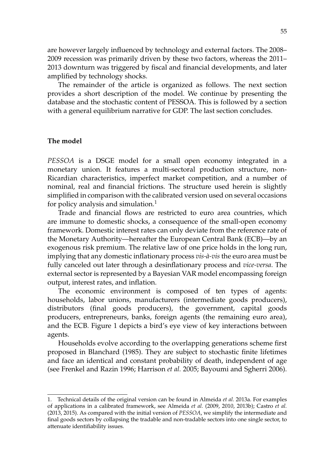are however largely influenced by technology and external factors. The 2008– 2009 recession was primarily driven by these two factors, whereas the 2011– 2013 downturn was triggered by fiscal and financial developments, and later amplified by technology shocks.

The remainder of the article is organized as follows. The next section provides a short description of the model. We continue by presenting the database and the stochastic content of PESSOA. This is followed by a section with a general equilibrium narrative for GDP. The last section concludes.

# **The model**

*PESSOA* is a DSGE model for a small open economy integrated in a monetary union. It features a multi-sectoral production structure, non-Ricardian characteristics, imperfect market competition, and a number of nominal, real and financial frictions. The structure used herein is slightly simplified in comparison with the calibrated version used on several occasions for policy analysis and simulation. $1$ 

Trade and financial flows are restricted to euro area countries, which are immune to domestic shocks, a consequence of the small-open economy framework. Domestic interest rates can only deviate from the reference rate of the Monetary Authority—hereafter the European Central Bank (ECB)—by an exogenous risk premium. The relative law of one price holds in the long run, implying that any domestic inflationary process *vis-à-vis* the euro area must be fully canceled out later through a desinflationary process and *vice-versa*. The external sector is represented by a Bayesian VAR model encompassing foreign output, interest rates, and inflation.

The economic environment is composed of ten types of agents: households, labor unions, manufacturers (intermediate goods producers), distributors (final goods producers), the government, capital goods producers, entrepreneurs, banks, foreign agents (the remaining euro area), and the ECB. Figure 1 depicts a bird's eye view of key interactions between agents.

Households evolve according to the overlapping generations scheme first proposed in Blanchard (1985). They are subject to stochastic finite lifetimes and face an identical and constant probability of death, independent of age (see Frenkel and Razin 1996; Harrison *et al.* 2005; Bayoumi and Sgherri 2006).

<sup>1.</sup> Technical details of the original version can be found in Almeida *et al.* 2013a. For examples of applications in a calibrated framework, see Almeida *et al.* (2009, 2010, 2013b); Castro *et al.* (2013, 2015). As compared with the initial version of *PESSOA*, we simplify the intermediate and final goods sectors by collapsing the tradable and non-tradable sectors into one single sector, to attenuate identifiability issues.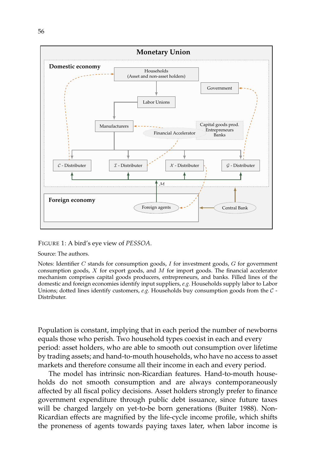

# FIGURE 1: A bird's eye view of *PESSOA*.

Source: The authors.

Notes: Identifier  $C$  stands for consumption goods,  $I$  for investment goods,  $G$  for government consumption goods,  $X$  for export goods, and  $M$  for import goods. The financial accelerator mechanism comprises capital goods producers, entrepreneurs, and banks. Filled lines of the domestic and foreign economies identify input suppliers, *e.g.* Households supply labor to Labor Unions; dotted lines identify customers, *e.g.* Households buy consumption goods from the C - Distributer.

Population is constant, implying that in each period the number of newborns equals those who perish. Two household types coexist in each and every period: asset holders, who are able to smooth out consumption over lifetime by trading assets; and hand-to-mouth households, who have no access to asset markets and therefore consume all their income in each and every period.

The model has intrinsic non-Ricardian features. Hand-to-mouth households do not smooth consumption and are always contemporaneously affected by all fiscal policy decisions. Asset holders strongly prefer to finance government expenditure through public debt issuance, since future taxes will be charged largely on yet-to-be born generations (Buiter 1988). Non-Ricardian effects are magnified by the life-cycle income profile, which shifts the proneness of agents towards paying taxes later, when labor income is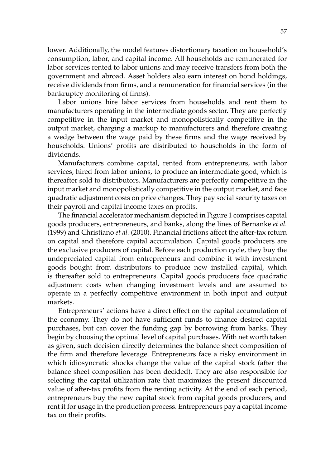lower. Additionally, the model features distortionary taxation on household's consumption, labor, and capital income. All households are remunerated for labor services rented to labor unions and may receive transfers from both the government and abroad. Asset holders also earn interest on bond holdings, receive dividends from firms, and a remuneration for financial services (in the bankruptcy monitoring of firms).

Labor unions hire labor services from households and rent them to manufacturers operating in the intermediate goods sector. They are perfectly competitive in the input market and monopolistically competitive in the output market, charging a markup to manufacturers and therefore creating a wedge between the wage paid by these firms and the wage received by households. Unions' profits are distributed to households in the form of dividends.

Manufacturers combine capital, rented from entrepreneurs, with labor services, hired from labor unions, to produce an intermediate good, which is thereafter sold to distributors. Manufacturers are perfectly competitive in the input market and monopolistically competitive in the output market, and face quadratic adjustment costs on price changes. They pay social security taxes on their payroll and capital income taxes on profits.

The financial accelerator mechanism depicted in Figure 1 comprises capital goods producers, entrepreneurs, and banks, along the lines of Bernanke *et al.* (1999) and Christiano *et al.* (2010). Financial frictions affect the after-tax return on capital and therefore capital accumulation. Capital goods producers are the exclusive producers of capital. Before each production cycle, they buy the undepreciated capital from entrepreneurs and combine it with investment goods bought from distributors to produce new installed capital, which is thereafter sold to entrepreneurs. Capital goods producers face quadratic adjustment costs when changing investment levels and are assumed to operate in a perfectly competitive environment in both input and output markets.

Entrepreneurs' actions have a direct effect on the capital accumulation of the economy. They do not have sufficient funds to finance desired capital purchases, but can cover the funding gap by borrowing from banks. They begin by choosing the optimal level of capital purchases. With net worth taken as given, such decision directly determines the balance sheet composition of the firm and therefore leverage. Entrepreneurs face a risky environment in which idiosyncratic shocks change the value of the capital stock (after the balance sheet composition has been decided). They are also responsible for selecting the capital utilization rate that maximizes the present discounted value of after-tax profits from the renting activity. At the end of each period, entrepreneurs buy the new capital stock from capital goods producers, and rent it for usage in the production process. Entrepreneurs pay a capital income tax on their profits.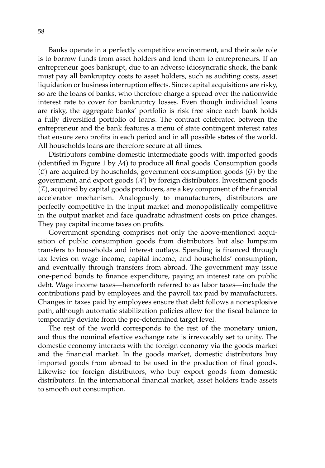Banks operate in a perfectly competitive environment, and their sole role is to borrow funds from asset holders and lend them to entrepreneurs. If an entrepreneur goes bankrupt, due to an adverse idiosyncratic shock, the bank must pay all bankruptcy costs to asset holders, such as auditing costs, asset liquidation or business interruption effects. Since capital acquisitions are risky, so are the loans of banks, who therefore charge a spread over the nationwide interest rate to cover for bankruptcy losses. Even though individual loans are risky, the aggregate banks' portfolio is risk free since each bank holds a fully diversified portfolio of loans. The contract celebrated between the entrepreneur and the bank features a menu of state contingent interest rates that ensure zero profits in each period and in all possible states of the world. All households loans are therefore secure at all times.

Distributors combine domestic intermediate goods with imported goods (identified in Figure 1 by  $M$ ) to produce all final goods. Consumption goods  $(C)$  are acquired by households, government consumption goods  $(G)$  by the government, and export goods  $(X)$  by foreign distributors. Investment goods  $(\mathcal{I})$ , acquired by capital goods producers, are a key component of the financial accelerator mechanism. Analogously to manufacturers, distributors are perfectly competitive in the input market and monopolistically competitive in the output market and face quadratic adjustment costs on price changes. They pay capital income taxes on profits.

Government spending comprises not only the above-mentioned acquisition of public consumption goods from distributors but also lumpsum transfers to households and interest outlays. Spending is financed through tax levies on wage income, capital income, and households' consumption, and eventually through transfers from abroad. The government may issue one-period bonds to finance expenditure, paying an interest rate on public debt. Wage income taxes—henceforth referred to as labor taxes—include the contributions paid by employees and the payroll tax paid by manufacturers. Changes in taxes paid by employees ensure that debt follows a nonexplosive path, although automatic stabilization policies allow for the fiscal balance to temporarily deviate from the pre-determined target level.

The rest of the world corresponds to the rest of the monetary union, and thus the nominal efective exchange rate is irrevocably set to unity. The domestic economy interacts with the foreign economy via the goods market and the financial market. In the goods market, domestic distributors buy imported goods from abroad to be used in the production of final goods. Likewise for foreign distributors, who buy export goods from domestic distributors. In the international financial market, asset holders trade assets to smooth out consumption.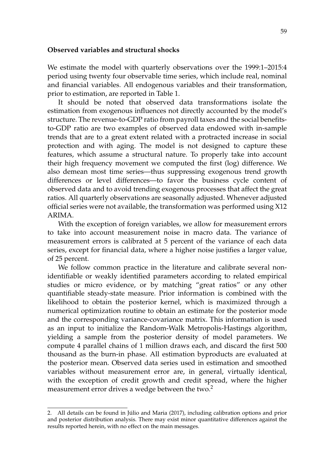# **Observed variables and structural shocks**

We estimate the model with quarterly observations over the 1999:1–2015:4 period using twenty four observable time series, which include real, nominal and financial variables. All endogenous variables and their transformation, prior to estimation, are reported in Table 1.

It should be noted that observed data transformations isolate the estimation from exogenous influences not directly accounted by the model's structure. The revenue-to-GDP ratio from payroll taxes and the social benefitsto-GDP ratio are two examples of observed data endowed with in-sample trends that are to a great extent related with a protracted increase in social protection and with aging. The model is not designed to capture these features, which assume a structural nature. To properly take into account their high frequency movement we computed the first (log) difference. We also demean most time series—thus suppressing exogenous trend growth differences or level differences—to favor the business cycle content of observed data and to avoid trending exogenous processes that affect the great ratios. All quarterly observations are seasonally adjusted. Whenever adjusted official series were not available, the transformation was performed using X12 ARIMA.

With the exception of foreign variables, we allow for measurement errors to take into account measurement noise in macro data. The variance of measurement errors is calibrated at 5 percent of the variance of each data series, except for financial data, where a higher noise justifies a larger value, of 25 percent.

We follow common practice in the literature and calibrate several nonidentifiable or weakly identified parameters according to related empirical studies or micro evidence, or by matching "great ratios" or any other quantifiable steady-state measure. Prior information is combined with the likelihood to obtain the posterior kernel, which is maximized through a numerical optimization routine to obtain an estimate for the posterior mode and the corresponding variance-covariance matrix. This information is used as an input to initialize the Random-Walk Metropolis-Hastings algorithm, yielding a sample from the posterior density of model parameters. We compute 4 parallel chains of 1 million draws each, and discard the first 500 thousand as the burn-in phase. All estimation byproducts are evaluated at the posterior mean. Observed data series used in estimation and smoothed variables without measurement error are, in general, virtually identical, with the exception of credit growth and credit spread, where the higher measurement error drives a wedge between the two.<sup>2</sup>

<sup>2.</sup> All details can be found in Júlio and Maria (2017), including calibration options and prior and posterior distribution analysis. There may exist minor quantitative differences against the results reported herein, with no effect on the main messages.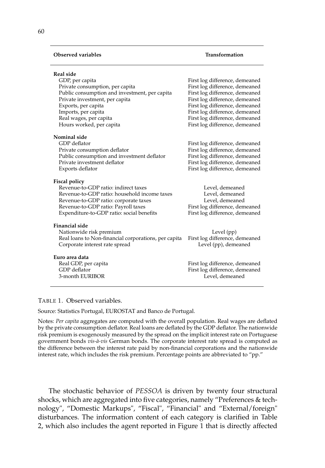### **Observed variables Transformation**

#### **Real side**

| GDP, per capita                               | First log difference, demeaned |  |
|-----------------------------------------------|--------------------------------|--|
| Private consumption, per capita               | First log difference, demeaned |  |
| Public consumption and investment, per capita | First log difference, demeaned |  |
| Private investment, per capita                | First log difference, demeaned |  |
| Exports, per capita                           | First log difference, demeaned |  |
| Imports, per capita                           | First log difference, demeaned |  |
| Real wages, per capita                        | First log difference, demeaned |  |
| Hours worked, per capita                      | First log difference, demeaned |  |
| Nominal side                                  |                                |  |
| GDP deflator                                  | First log difference, demeaned |  |
| Private consumption deflator                  | First log difference, demeaned |  |
| Public consumption and investment deflator    | First log difference, demeaned |  |
|                                               |                                |  |

Private investment deflator First log difference, demeaned Exports deflator First log difference, demeaned

#### **Fiscal policy**

| Revenue-to-GDP ratio: indirect taxes         |  |  |
|----------------------------------------------|--|--|
| Revenue-to-GDP ratio: household income taxes |  |  |
| Revenue-to-GDP ratio: corporate taxes        |  |  |
| Revenue-to-GDP ratio: Payroll taxes          |  |  |
| Expenditure-to-GDP ratio: social benefits    |  |  |

#### **Financial side**

Nationwide risk premium<br>
Real loans to Non-financial corporations, per capita 
First log difference, demeaned Real loans to Non-financial corporations, per capita First log difference, demeaned Corporate interest rate spread the spread Level (pp), demeaned Corporate interest rate spread

**Euro area data** 3-month EURIBOR

First log difference, demeaned

Level, demeaned Level, demeaned Level, demeaned First log difference, demeaned First log difference, demeaned

Real GDP, per capita First log difference, demeaned GDP deflator  $\Box$  First log difference, demeaned GDP deflator First log difference, demeaned<br>Level, demeaned

#### TABLE 1. Observed variables.

Source: Statistics Portugal, EUROSTAT and Banco de Portugal.

Notes: *Per capita* aggregates are computed with the overall population. Real wages are deflated by the private consumption deflator. Real loans are deflated by the GDP deflator. The nationwide risk premium is exogenously measured by the spread on the implicit interest rate on Portuguese government bonds *vis-à-vis* German bonds. The corporate interest rate spread is computed as the difference between the interest rate paid by non-financial corporations and the nationwide interest rate, which includes the risk premium. Percentage points are abbreviated to "pp."

The stochastic behavior of *PESSOA* is driven by twenty four structural shocks, which are aggregated into five categories, namely "Preferences & technology", "Domestic Markups", "Fiscal", "Financial" and "External/foreign" disturbances. The information content of each category is clarified in Table 2, which also includes the agent reported in Figure 1 that is directly affected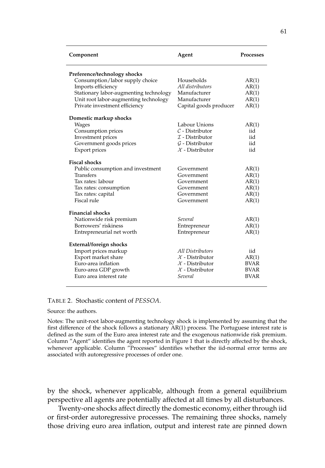| Component                              | Agent                       | <b>Processes</b> |
|----------------------------------------|-----------------------------|------------------|
| Preference/technology shocks           |                             |                  |
| Consumption/labor supply choice        | Households                  | AR(1)            |
| Imports efficiency                     | All distributors            | AR(1)            |
| Stationary labor-augmenting technology | Manufacturer                | AR(1)            |
| Unit root labor-augmenting technology  | Manufacturer                | AR(1)            |
| Private investment efficiency          | Capital goods producer      | AR(1)            |
| Domestic markup shocks                 |                             |                  |
| Wages                                  | Labour Unions               | AR(1)            |
| Consumption prices                     | $\mathcal{C}$ - Distributor | iid              |
| Investment prices                      | $\mathcal I$ - Distributor  | iid              |
| Government goods prices                | $G$ - Distributor           | iid              |
| Export prices                          | $\mathcal{X}$ - Distributor | iid              |
| <b>Fiscal shocks</b>                   |                             |                  |
| Public consumption and investment      | Government                  | AR(1)            |
| <b>Transfers</b>                       | Government                  | AR(1)            |
| Tax rates: labour                      | Government                  | AR(1)            |
| Tax rates: consumption                 | Government                  | AR(1)            |
| Tax rates: capital                     | Government                  | AR(1)            |
| Fiscal rule                            | Government                  | AR(1)            |
| <b>Financial shocks</b>                |                             |                  |
| Nationwide risk premium                | Several                     | AR(1)            |
| Borrowers' riskiness                   | Entrepreneur                | AR(1)            |
| Entrepreneurial net worth              | Entrepreneur                | AR(1)            |
| External/foreign shocks                |                             |                  |
| Import prices markup                   | All Distributors            | iid              |
| Export market share                    | $\mathcal{X}$ - Distributor | AR(1)            |
| Euro-area inflation                    | $\mathcal{X}$ - Distributor | <b>BVAR</b>      |
| Euro-area GDP growth                   | $\mathcal{X}$ - Distributor | <b>BVAR</b>      |
| Euro area interest rate                | Several                     | <b>BVAR</b>      |

# TABLE 2. Stochastic content of *PESSOA*.

#### Source: the authors.

Notes: The unit-root labor-augmenting technology shock is implemented by assuming that the first difference of the shock follows a stationary AR(1) process. The Portuguese interest rate is defined as the sum of the Euro area interest rate and the exogenous nationwide risk premium. Column "Agent" identifies the agent reported in Figure 1 that is directly affected by the shock, whenever applicable. Column "Processes" identifies whether the iid-normal error terms are associated with autoregressive processes of order one.

by the shock, whenever applicable, although from a general equilibrium perspective all agents are potentially affected at all times by all disturbances.

Twenty-one shocks affect directly the domestic economy, either through iid or first-order autoregressive processes. The remaining three shocks, namely those driving euro area inflation, output and interest rate are pinned down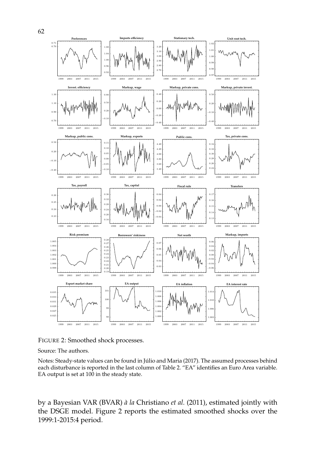

FIGURE 2: Smoothed shock processes.

Source: The authors.

Notes: Steady-state values can be found in Júlio and Maria (2017). The assumed processes behind each disturbance is reported in the last column of Table 2. "EA" identifies an Euro Area variable. EA output is set at in the steady state.

by a Bayesian VAR (BVAR) *à la* Christiano *et al.* (2011), estimated jointly with the DSGE model. Figure 2 reports the estimated smoothed shocks over the 1999:1-2015:4 period.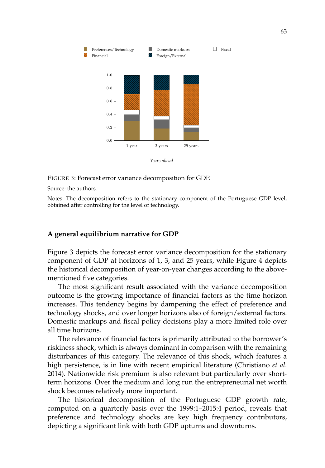

FIGURE 3: Forecast error variance decomposition for GDP.

Source: the authors.

Notes: The decomposition refers to the stationary component of the Portuguese GDP level, obtained after controlling for the level of technology.

# **A general equilibrium narrative for GDP**

Figure 3 depicts the forecast error variance decomposition for the stationary component of GDP at horizons of 1, 3, and 25 years, while Figure 4 depicts the historical decomposition of year-on-year changes according to the abovementioned five categories.

The most significant result associated with the variance decomposition outcome is the growing importance of financial factors as the time horizon increases. This tendency begins by dampening the effect of preference and technology shocks, and over longer horizons also of foreign/external factors. Domestic markups and fiscal policy decisions play a more limited role over all time horizons.

The relevance of financial factors is primarily attributed to the borrower's riskiness shock, which is always dominant in comparison with the remaining disturbances of this category. The relevance of this shock, which features a high persistence, is in line with recent empirical literature (Christiano *et al.* 2014). Nationwide risk premium is also relevant but particularly over shortterm horizons. Over the medium and long run the entrepreneurial net worth shock becomes relatively more important.

The historical decomposition of the Portuguese GDP growth rate, computed on a quarterly basis over the 1999:1–2015:4 period, reveals that preference and technology shocks are key high frequency contributors, depicting a significant link with both GDP upturns and downturns.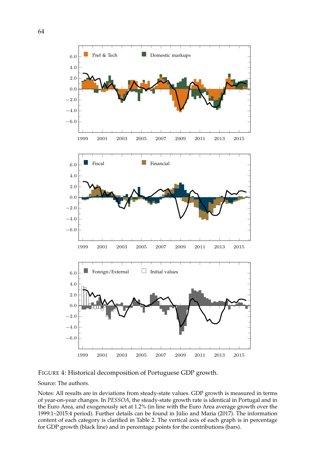

FIGURE 4: Historical decomposition of Portuguese GDP growth.

Source: The authors.

Notes: All results are in deviations from steady-state values. GDP growth is measured in terms of year-on-year changes. In *PESSOA*, the steady-state growth rate is identical in Portugal and in the Euro Area, and exogenously set at 1.2% (in line with the Euro Area average growth over the 1999:1–2015:4 period). Further details can be found in Júlio and Maria (2017). The information content of each category is clarified in Table 2. The vertical axis of each graph is in percentage for GDP growth (black line) and in percentage points for the contributions (bars).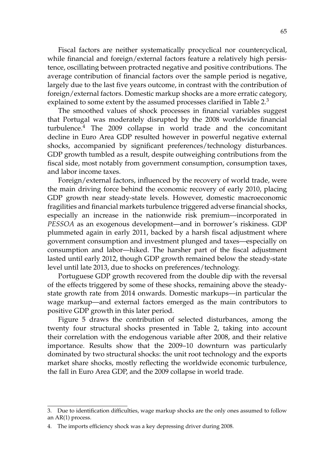Fiscal factors are neither systematically procyclical nor countercyclical, while financial and foreign/external factors feature a relatively high persistence, oscillating between protracted negative and positive contributions. The average contribution of financial factors over the sample period is negative, largely due to the last five years outcome, in contrast with the contribution of foreign/external factors. Domestic markup shocks are a more erratic category, explained to some extent by the assumed processes clarified in Table 2.<sup>3</sup>

The smoothed values of shock processes in financial variables suggest that Portugal was moderately disrupted by the 2008 worldwide financial  $turbulence.<sup>4</sup>$  The 2009 collapse in world trade and the concomitant decline in Euro Area GDP resulted however in powerful negative external shocks, accompanied by significant preferences/technology disturbances. GDP growth tumbled as a result, despite outweighing contributions from the fiscal side, most notably from government consumption, consumption taxes, and labor income taxes.

Foreign/external factors, influenced by the recovery of world trade, were the main driving force behind the economic recovery of early 2010, placing GDP growth near steady-state levels. However, domestic macroeconomic fragilities and financial markets turbulence triggered adverse financial shocks, especially an increase in the nationwide risk premium—incorporated in *PESSOA* as an exogenous development—and in borrower's riskiness. GDP plummeted again in early 2011, backed by a harsh fiscal adjustment where government consumption and investment plunged and taxes—especially on consumption and labor—hiked. The harsher part of the fiscal adjustment lasted until early 2012, though GDP growth remained below the steady-state level until late 2013, due to shocks on preferences/technology.

Portuguese GDP growth recovered from the double dip with the reversal of the effects triggered by some of these shocks, remaining above the steadystate growth rate from 2014 onwards. Domestic markups—in particular the wage markup—and external factors emerged as the main contributors to positive GDP growth in this later period.

Figure 5 draws the contribution of selected disturbances, among the twenty four structural shocks presented in Table 2, taking into account their correlation with the endogenous variable after 2008, and their relative importance. Results show that the 2009–10 downturn was particularly dominated by two structural shocks: the unit root technology and the exports market share shocks, mostly reflecting the worldwide economic turbulence, the fall in Euro Area GDP, and the 2009 collapse in world trade.

<sup>3.</sup> Due to identification difficulties, wage markup shocks are the only ones assumed to follow an AR(1) process.

<sup>4.</sup> The imports efficiency shock was a key depressing driver during 2008.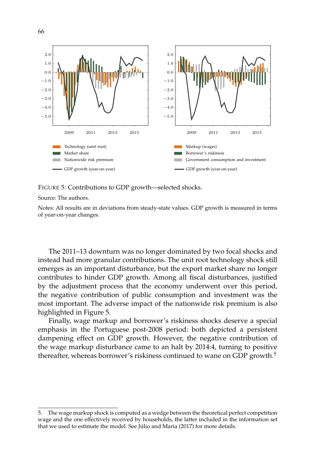

FIGURE 5: Contributions to GDP growth—selected shocks.

Source: The authors.

Notes: All results are in deviations from steady-state values. GDP growth is measured in terms of year-on-year changes.

The 2011–13 downturn was no longer dominated by two focal shocks and instead had more granular contributions. The unit root technology shock still emerges as an important disturbance, but the export market share no longer contributes to hinder GDP growth. Among all fiscal disturbances, justified by the adjustment process that the economy underwent over this period, the negative contribution of public consumption and investment was the most important. The adverse impact of the nationwide risk premium is also highlighted in Figure 5.

Finally, wage markup and borrower's riskiness shocks deserve a special emphasis in the Portuguese post-2008 period: both depicted a persistent dampening effect on GDP growth. However, the negative contribution of the wage markup disturbance came to an halt by 2014:4, turning to positive thereafter, whereas borrower's riskiness continued to wane on GDP growth.<sup>5</sup>

<sup>5.</sup> The wage markup shock is computed as a wedge between the theoretical perfect competition wage and the one effectively received by households, the latter included in the information set that we used to estimate the model. See Júlio and Maria (2017) for more details.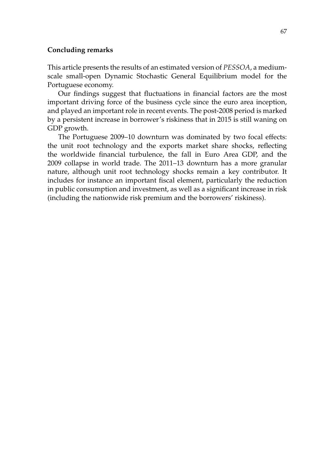# **Concluding remarks**

This article presents the results of an estimated version of *PESSOA*, a mediumscale small-open Dynamic Stochastic General Equilibrium model for the Portuguese economy.

Our findings suggest that fluctuations in financial factors are the most important driving force of the business cycle since the euro area inception, and played an important role in recent events. The post-2008 period is marked by a persistent increase in borrower's riskiness that in 2015 is still waning on GDP growth.

The Portuguese 2009–10 downturn was dominated by two focal effects: the unit root technology and the exports market share shocks, reflecting the worldwide financial turbulence, the fall in Euro Area GDP, and the 2009 collapse in world trade. The 2011–13 downturn has a more granular nature, although unit root technology shocks remain a key contributor. It includes for instance an important fiscal element, particularly the reduction in public consumption and investment, as well as a significant increase in risk (including the nationwide risk premium and the borrowers' riskiness).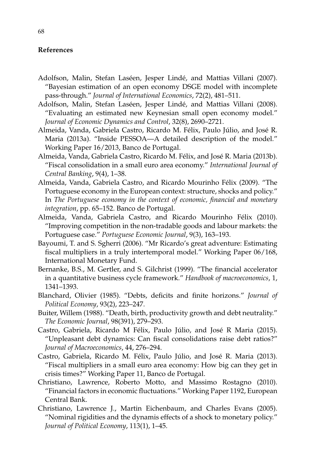# **References**

- Adolfson, Malin, Stefan Laséen, Jesper Lindé, and Mattias Villani (2007). "Bayesian estimation of an open economy DSGE model with incomplete pass-through." *Journal of International Economics*, 72(2), 481–511.
- Adolfson, Malin, Stefan Laséen, Jesper Lindé, and Mattias Villani (2008). "Evaluating an estimated new Keynesian small open economy model." *Journal of Economic Dynamics and Control*, 32(8), 2690–2721.
- Almeida, Vanda, Gabriela Castro, Ricardo M. Félix, Paulo Júlio, and José R. Maria (2013a). "Inside PESSOA—A detailed description of the model." Working Paper 16/2013, Banco de Portugal.
- Almeida, Vanda, Gabriela Castro, Ricardo M. Félix, and José R. Maria (2013b). "Fiscal consolidation in a small euro area economy." *International Journal of Central Banking*, 9(4), 1–38.
- Almeida, Vanda, Gabriela Castro, and Ricardo Mourinho Félix (2009). "The Portuguese economy in the European context: structure, shocks and policy." In *The Portuguese economy in the context of economic, financial and monetary integration*, pp. 65–152. Banco de Portugal.
- Almeida, Vanda, Gabriela Castro, and Ricardo Mourinho Félix (2010). "Improving competition in the non-tradable goods and labour markets: the Portuguese case." *Portuguese Economic Journal*, 9(3), 163–193.
- Bayoumi, T. and S. Sgherri (2006). "Mr Ricardo's great adventure: Estimating fiscal multipliers in a truly intertemporal model." Working Paper 06/168, International Monetary Fund.
- Bernanke, B.S., M. Gertler, and S. Gilchrist (1999). "The financial accelerator in a quantitative business cycle framework." *Handbook of macroeconomics*, 1, 1341–1393.
- Blanchard, Olivier (1985). "Debts, deficits and finite horizons." *Journal of Political Economy*, 93(2), 223–247.
- Buiter, Willem (1988). "Death, birth, productivity growth and debt neutrality." *The Economic Journal*, 98(391), 279–293.
- Castro, Gabriela, Ricardo M Félix, Paulo Júlio, and José R Maria (2015). "Unpleasant debt dynamics: Can fiscal consolidations raise debt ratios?" *Journal of Macroeconomics*, 44, 276–294.
- Castro, Gabriela, Ricardo M. Félix, Paulo Júlio, and José R. Maria (2013). "Fiscal multipliers in a small euro area economy: How big can they get in crisis times?" Working Paper 11, Banco de Portugal.
- Christiano, Lawrence, Roberto Motto, and Massimo Rostagno (2010). "Financial factors in economic fluctuations." Working Paper 1192, European Central Bank.
- Christiano, Lawrence J., Martin Eichenbaum, and Charles Evans (2005). "Nominal rigidities and the dynamis effects of a shock to monetary policy." *Journal of Political Economy*, 113(1), 1–45.